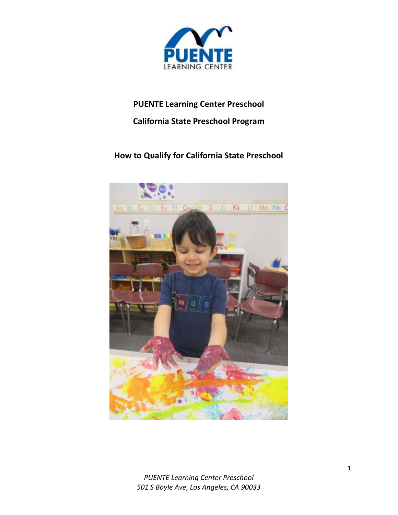

# **PUENTE Learning Center Preschool**

# **California State Preschool Program**

# **How to Qualify for California State Preschool**

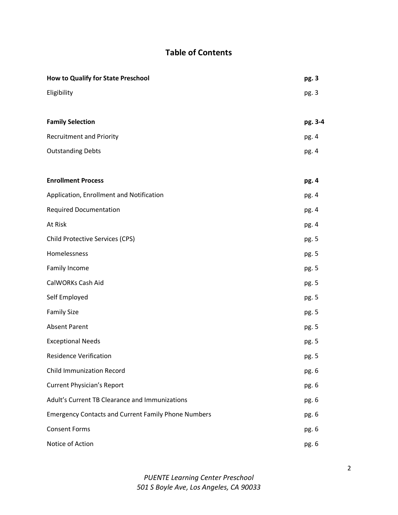# **Table of Contents**

| <b>How to Qualify for State Preschool</b>                  | pg. 3   |
|------------------------------------------------------------|---------|
| Eligibility                                                | pg. 3   |
|                                                            |         |
| <b>Family Selection</b>                                    | pg. 3-4 |
| <b>Recruitment and Priority</b>                            | pg. 4   |
| <b>Outstanding Debts</b>                                   | pg. 4   |
|                                                            |         |
| <b>Enrollment Process</b>                                  | pg. 4   |
| Application, Enrollment and Notification                   | pg. 4   |
| <b>Required Documentation</b>                              | pg. 4   |
| At Risk                                                    | pg. 4   |
| <b>Child Protective Services (CPS)</b>                     | pg. 5   |
| Homelessness                                               | pg. 5   |
| Family Income                                              | pg. 5   |
| CalWORKs Cash Aid                                          | pg. 5   |
| Self Employed                                              | pg. 5   |
| <b>Family Size</b>                                         | pg. 5   |
| <b>Absent Parent</b>                                       | pg. 5   |
| <b>Exceptional Needs</b>                                   | pg. 5   |
| <b>Residence Verification</b>                              | pg. 5   |
| <b>Child Immunization Record</b>                           | pg. 6   |
| <b>Current Physician's Report</b>                          | pg. 6   |
| Adult's Current TB Clearance and Immunizations             | pg. 6   |
| <b>Emergency Contacts and Current Family Phone Numbers</b> | pg. 6   |
| <b>Consent Forms</b>                                       | pg. 6   |
| Notice of Action                                           | pg. 6   |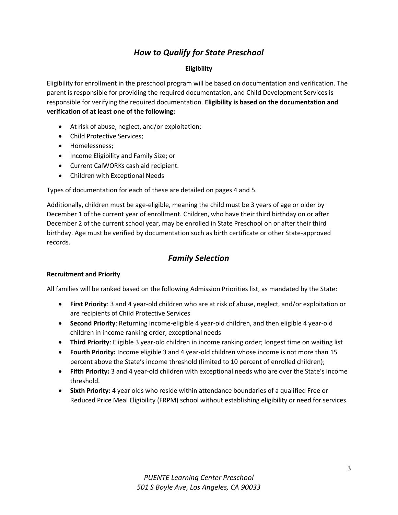## *How to Qualify for State Preschool*

### **Eligibility**

Eligibility for enrollment in the preschool program will be based on documentation and verification. The parent is responsible for providing the required documentation, and Child Development Services is responsible for verifying the required documentation. **Eligibility is based on the documentation and verification of at least one of the following:**

- At risk of abuse, neglect, and/or exploitation;
- Child Protective Services;
- Homelessness:
- Income Eligibility and Family Size; or
- Current CalWORKs cash aid recipient.
- Children with Exceptional Needs

Types of documentation for each of these are detailed on pages 4 and 5.

Additionally, children must be age-eligible, meaning the child must be 3 years of age or older by December 1 of the current year of enrollment. Children, who have their third birthday on or after December 2 of the current school year, may be enrolled in State Preschool on or after their third birthday. Age must be verified by documentation such as birth certificate or other State-approved records.

## *Family Selection*

#### **Recruitment and Priority**

All families will be ranked based on the following Admission Priorities list, as mandated by the State:

- **First Priority**: 3 and 4 year-old children who are at risk of abuse, neglect, and/or exploitation or are recipients of Child Protective Services
- **Second Priority**: Returning income-eligible 4 year-old children, and then eligible 4 year-old children in income ranking order; exceptional needs
- **Third Priority**: Eligible 3 year-old children in income ranking order; longest time on waiting list
- **Fourth Priority:** Income eligible 3 and 4 year-old children whose income is not more than 15 percent above the State's income threshold (limited to 10 percent of enrolled children);
- **Fifth Priority:** 3 and 4 year-old children with exceptional needs who are over the State's income threshold.
- **Sixth Priority:** 4 year olds who reside within attendance boundaries of a qualified Free or Reduced Price Meal Eligibility (FRPM) school without establishing eligibility or need for services.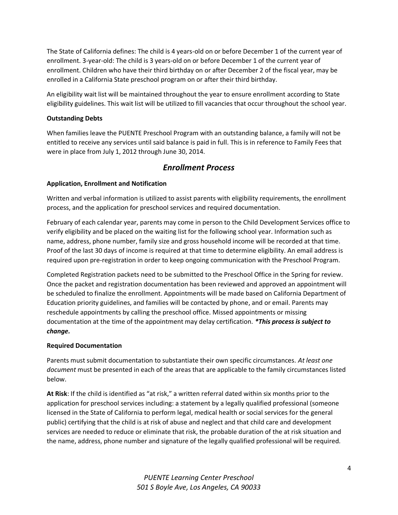The State of California defines: The child is 4 years-old on or before December 1 of the current year of enrollment. 3-year-old: The child is 3 years-old on or before December 1 of the current year of enrollment. Children who have their third birthday on or after December 2 of the fiscal year, may be enrolled in a California State preschool program on or after their third birthday.

An eligibility wait list will be maintained throughout the year to ensure enrollment according to State eligibility guidelines. This wait list will be utilized to fill vacancies that occur throughout the school year.

## **Outstanding Debts**

When families leave the PUENTE Preschool Program with an outstanding balance, a family will not be entitled to receive any services until said balance is paid in full. This is in reference to Family Fees that were in place from July 1, 2012 through June 30, 2014.

## *Enrollment Process*

## **Application, Enrollment and Notification**

Written and verbal information is utilized to assist parents with eligibility requirements, the enrollment process, and the application for preschool services and required documentation.

February of each calendar year, parents may come in person to the Child Development Services office to verify eligibility and be placed on the waiting list for the following school year. Information such as name, address, phone number, family size and gross household income will be recorded at that time. Proof of the last 30 days of income is required at that time to determine eligibility. An email address is required upon pre-registration in order to keep ongoing communication with the Preschool Program.

Completed Registration packets need to be submitted to the Preschool Office in the Spring for review. Once the packet and registration documentation has been reviewed and approved an appointment will be scheduled to finalize the enrollment. Appointments will be made based on California Department of Education priority guidelines, and families will be contacted by phone, and or email. Parents may reschedule appointments by calling the preschool office. Missed appointments or missing documentation at the time of the appointment may delay certification. *\*This process is subject to change.*

## **Required Documentation**

Parents must submit documentation to substantiate their own specific circumstances. *At least one document* must be presented in each of the areas that are applicable to the family circumstances listed below.

**At Risk**: If the child is identified as "at risk," a written referral dated within six months prior to the application for preschool services including: a statement by a legally qualified professional (someone licensed in the State of California to perform legal, medical health or social services for the general public) certifying that the child is at risk of abuse and neglect and that child care and development services are needed to reduce or eliminate that risk, the probable duration of the at risk situation and the name, address, phone number and signature of the legally qualified professional will be required.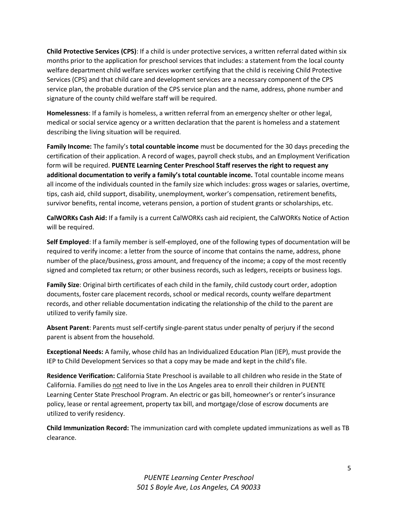**Child Protective Services (CPS)**: If a child is under protective services, a written referral dated within six months prior to the application for preschool services that includes: a statement from the local county welfare department child welfare services worker certifying that the child is receiving Child Protective Services (CPS) and that child care and development services are a necessary component of the CPS service plan, the probable duration of the CPS service plan and the name, address, phone number and signature of the county child welfare staff will be required.

**Homelessness**: If a family is homeless, a written referral from an emergency shelter or other legal, medical or social service agency or a written declaration that the parent is homeless and a statement describing the living situation will be required.

**Family Income:** The family's **total countable income** must be documented for the 30 days preceding the certification of their application. A record of wages, payroll check stubs, and an Employment Verification form will be required. **PUENTE Learning Center Preschool Staff reserves the right to request any additional documentation to verify a family's total countable income.** Total countable income means all income of the individuals counted in the family size which includes: gross wages or salaries, overtime, tips, cash aid, child support, disability, unemployment, worker's compensation, retirement benefits, survivor benefits, rental income, veterans pension, a portion of student grants or scholarships, etc.

**CalWORKs Cash Aid:** If a family is a current CalWORKs cash aid recipient, the CalWORKs Notice of Action will be required.

**Self Employed**: If a family member is self-employed, one of the following types of documentation will be required to verify income: a letter from the source of income that contains the name, address, phone number of the place/business, gross amount, and frequency of the income; a copy of the most recently signed and completed tax return; or other business records, such as ledgers, receipts or business logs.

**Family Size**: Original birth certificates of each child in the family, child custody court order, adoption documents, foster care placement records, school or medical records, county welfare department records, and other reliable documentation indicating the relationship of the child to the parent are utilized to verify family size.

**Absent Parent**: Parents must self-certify single-parent status under penalty of perjury if the second parent is absent from the household.

**Exceptional Needs:** A family, whose child has an Individualized Education Plan (IEP), must provide the IEP to Child Development Services so that a copy may be made and kept in the child's file.

**Residence Verification:** California State Preschool is available to all children who reside in the State of California. Families do not need to live in the Los Angeles area to enroll their children in PUENTE Learning Center State Preschool Program. An electric or gas bill, homeowner's or renter's insurance policy, lease or rental agreement, property tax bill, and mortgage/close of escrow documents are utilized to verify residency.

**Child Immunization Record:** The immunization card with complete updated immunizations as well as TB clearance.